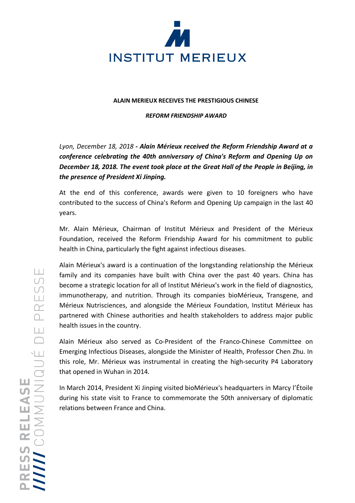

## **ALAIN MERIEUX RECEIVES THE PRESTIGIOUS CHINESE**

## *REFORM FRIENDSHIP AWARD*

*Lyon, December 18, 2018 - Alain Mérieux received the Reform Friendship Award at a conference celebrating the 40th anniversary of China's Reform and Opening Up on December 18, 2018. The event took place at the Great Hall of the People in Beijing, in the presence of President Xi Jinping.*

At the end of this conference, awards were given to 10 foreigners who have contributed to the success of China's Reform and Opening Up campaign in the last 40 years.

Mr. Alain Mérieux, Chairman of Institut Mérieux and President of the Mérieux Foundation, received the Reform Friendship Award for his commitment to public health in China, particularly the fight against infectious diseases.

Alain Mérieux's award is a continuation of the longstanding relationship the Mérieux family and its companies have built with China over the past 40 years. China has become a strategic location for all of Institut Mérieux's work in the field of diagnostics, immunotherapy, and nutrition. Through its companies bioMérieux, Transgene, and Mérieux Nutrisciences, and alongside the Mérieux Foundation, Institut Mérieux has partnered with Chinese authorities and health stakeholders to address major public health issues in the country.

Alain Mérieux also served as Co-President of the Franco-Chinese Committee on Emerging Infectious Diseases, alongside the Minister of Health, Professor Chen Zhu. In this role, Mr. Mérieux was instrumental in creating the high-security P4 Laboratory that opened in Wuhan in 2014.

In March 2014, President Xi Jinping visited bioMérieux's headquarters in Marcy l'Étoile during his state visit to France to commemorate the 50th anniversary of diplomatic relations between France and China.